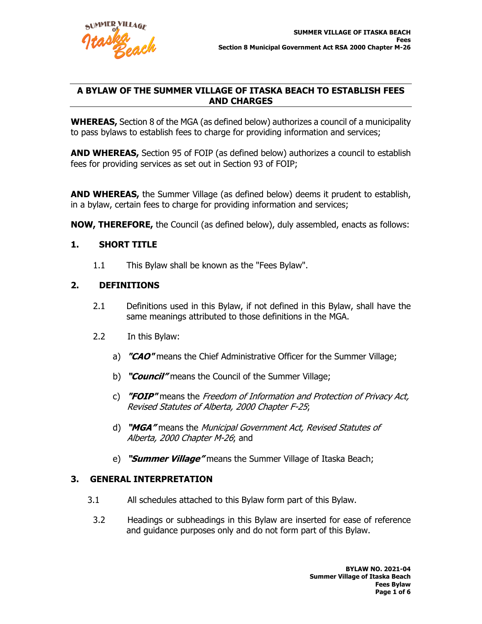

## **A BYLAW OF THE SUMMER VILLAGE OF ITASKA BEACH TO ESTABLISH FEES AND CHARGES**

**WHEREAS,** Section 8 of the MGA (as defined below) authorizes a council of a municipality to pass bylaws to establish fees to charge for providing information and services;

**AND WHEREAS,** Section 95 of FOIP (as defined below) authorizes a council to establish fees for providing services as set out in Section 93 of FOIP;

**AND WHEREAS,** the Summer Village (as defined below) deems it prudent to establish, in a bylaw, certain fees to charge for providing information and services;

**NOW, THEREFORE,** the Council (as defined below), duly assembled, enacts as follows:

## **1. SHORT TITLE**

1.1 This Bylaw shall be known as the "Fees Bylaw".

## **2. DEFINITIONS**

- 2.1 Definitions used in this Bylaw, if not defined in this Bylaw, shall have the same meanings attributed to those definitions in the MGA.
- 2.2 In this Bylaw:
	- a) **"CAO"** means the Chief Administrative Officer for the Summer Village;
	- b) **"Council"** means the Council of the Summer Village;
	- c) **"FOIP"** means the Freedom of Information and Protection of Privacy Act, Revised Statutes of Alberta, 2000 Chapter F-25;
	- d) **"MGA"** means the Municipal Government Act, Revised Statutes of Alberta, 2000 Chapter M-26; and
	- e) **"Summer Village"** means the Summer Village of Itaska Beach;

### **3. GENERAL INTERPRETATION**

- 3.1 All schedules attached to this Bylaw form part of this Bylaw.
- 3.2 Headings or subheadings in this Bylaw are inserted for ease of reference and guidance purposes only and do not form part of this Bylaw.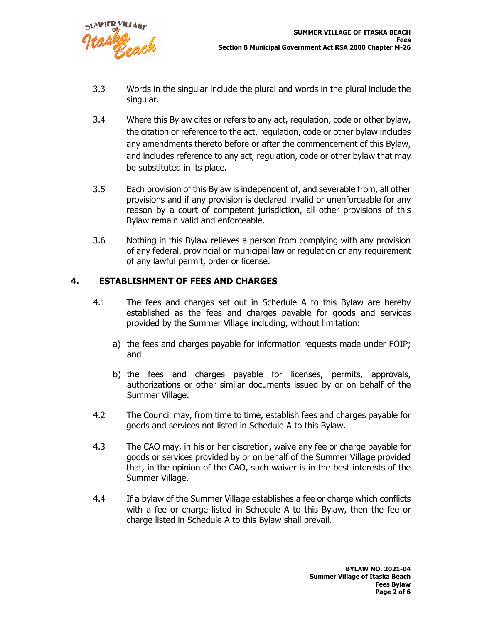

- 3.3 Words in the singular include the plural and words in the plural include the singular.
- 3.4 Where this Bylaw cites or refers to any act, regulation, code or other bylaw, the citation or reference to the act, regulation, code or other bylaw includes any amendments thereto before or after the commencement of this Bylaw, and includes reference to any act, regulation, code or other bylaw that may be substituted in its place.
- 3.5 Each provision of this Bylaw is independent of, and severable from, all other provisions and if any provision is declared invalid or unenforceable for any reason by a court of competent jurisdiction, all other provisions of this Bylaw remain valid and enforceable.
- 3.6 Nothing in this Bylaw relieves a person from complying with any provision of any federal, provincial or municipal law or regulation or any requirement of any lawful permit, order or license.

# **4. ESTABLISHMENT OF FEES AND CHARGES**

- 4.1 The fees and charges set out in Schedule A to this Bylaw are hereby established as the fees and charges payable for goods and services provided by the Summer Village including, without limitation:
	- a) the fees and charges payable for information requests made under FOIP; and
	- b) the fees and charges payable for licenses, permits, approvals, authorizations or other similar documents issued by or on behalf of the Summer Village.
- 4.2 The Council may, from time to time, establish fees and charges payable for goods and services not listed in Schedule A to this Bylaw.
- 4.3 The CAO may, in his or her discretion, waive any fee or charge payable for goods or services provided by or on behalf of the Summer Village provided that, in the opinion of the CAO, such waiver is in the best interests of the Summer Village.
- 4.4 If a bylaw of the Summer Village establishes a fee or charge which conflicts with a fee or charge listed in Schedule A to this Bylaw, then the fee or charge listed in Schedule A to this Bylaw shall prevail.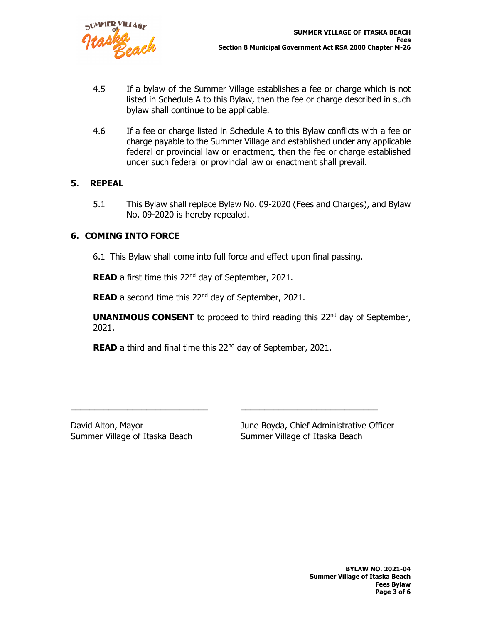

- 4.5 If a bylaw of the Summer Village establishes a fee or charge which is not listed in Schedule A to this Bylaw, then the fee or charge described in such bylaw shall continue to be applicable.
- 4.6 If a fee or charge listed in Schedule A to this Bylaw conflicts with a fee or charge payable to the Summer Village and established under any applicable federal or provincial law or enactment, then the fee or charge established under such federal or provincial law or enactment shall prevail.

### **5. REPEAL**

5.1 This Bylaw shall replace Bylaw No. 09-2020 (Fees and Charges), and Bylaw No. 09-2020 is hereby repealed.

## **6. COMING INTO FORCE**

6.1 This Bylaw shall come into full force and effect upon final passing.

**READ** a first time this 22<sup>nd</sup> day of September, 2021.

**READ** a second time this 22<sup>nd</sup> day of September, 2021.

**UNANIMOUS CONSENT** to proceed to third reading this 22<sup>nd</sup> day of September, 2021.

**READ** a third and final time this 22<sup>nd</sup> day of September, 2021.

\_\_\_\_\_\_\_\_\_\_\_\_\_\_\_\_\_\_\_\_\_\_\_\_\_\_\_\_\_ \_\_\_\_\_\_\_\_\_\_\_\_\_\_\_\_\_\_\_\_\_\_\_\_\_\_\_\_\_

David Alton, Mayor June Boyda, Chief Administrative Officer Summer Village of Itaska Beach Summer Village of Itaska Beach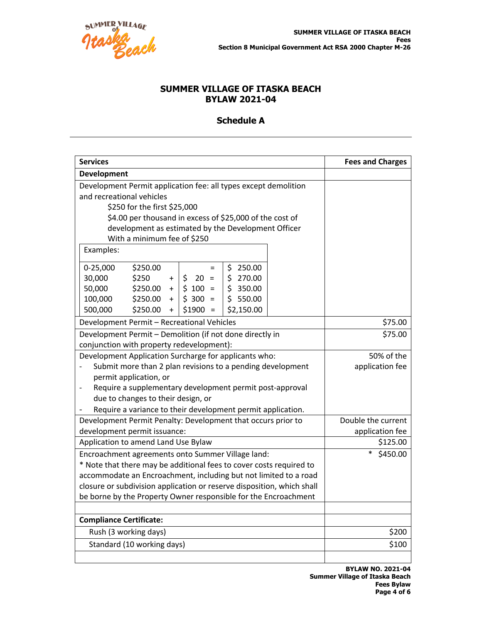

# **SUMMER VILLAGE OF ITASKA BEACH BYLAW 2021-04**

# **Schedule A**

| <b>Services</b>                                                                                                          | <b>Fees and Charges</b> |
|--------------------------------------------------------------------------------------------------------------------------|-------------------------|
| Development                                                                                                              |                         |
| Development Permit application fee: all types except demolition                                                          |                         |
| and recreational vehicles                                                                                                |                         |
| \$250 for the first \$25,000                                                                                             |                         |
| \$4.00 per thousand in excess of \$25,000 of the cost of                                                                 |                         |
| development as estimated by the Development Officer                                                                      |                         |
| With a minimum fee of \$250                                                                                              |                         |
| Examples:                                                                                                                |                         |
| $0-25,000$<br>\$250.00<br>\$250.00<br>$\equiv$                                                                           |                         |
| 30,000<br>\$250<br>\$270.00<br>$$20 =$<br>$\ddot{}$                                                                      |                         |
| \$350.00<br>50,000<br>\$250.00<br>$$100 =$<br>$+$                                                                        |                         |
| \$550.00<br>100,000<br>\$250.00<br>$$300 =$<br>$+$                                                                       |                         |
| 500,000<br>\$250.00<br>\$2,150.00<br>$$1900 =$<br>$\ddot{}$                                                              |                         |
| Development Permit - Recreational Vehicles                                                                               | \$75.00                 |
| Development Permit - Demolition (if not done directly in                                                                 | \$75.00                 |
| conjunction with property redevelopment):                                                                                |                         |
| Development Application Surcharge for applicants who:                                                                    | 50% of the              |
| Submit more than 2 plan revisions to a pending development                                                               | application fee         |
| permit application, or                                                                                                   |                         |
| Require a supplementary development permit post-approval                                                                 |                         |
| due to changes to their design, or                                                                                       |                         |
| Require a variance to their development permit application.                                                              | Double the current      |
| Development Permit Penalty: Development that occurs prior to<br>development permit issuance:                             | application fee         |
| Application to amend Land Use Bylaw                                                                                      | \$125.00                |
|                                                                                                                          | \$450.00                |
| Encroachment agreements onto Summer Village land:<br>* Note that there may be additional fees to cover costs required to |                         |
| accommodate an Encroachment, including but not limited to a road                                                         |                         |
| closure or subdivision application or reserve disposition, which shall                                                   |                         |
| be borne by the Property Owner responsible for the Encroachment                                                          |                         |
|                                                                                                                          |                         |
| <b>Compliance Certificate:</b>                                                                                           |                         |
| Rush (3 working days)                                                                                                    | \$200                   |
| Standard (10 working days)                                                                                               | \$100                   |
|                                                                                                                          |                         |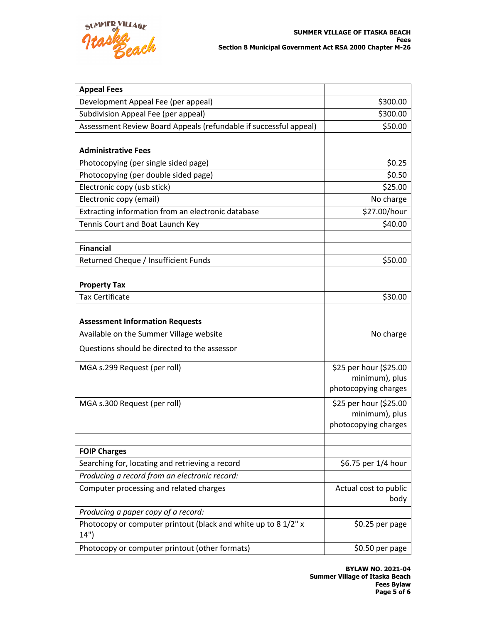

| <b>Appeal Fees</b>                                                     |                        |
|------------------------------------------------------------------------|------------------------|
| Development Appeal Fee (per appeal)                                    | \$300.00               |
| Subdivision Appeal Fee (per appeal)                                    | \$300.00               |
| Assessment Review Board Appeals (refundable if successful appeal)      | \$50.00                |
|                                                                        |                        |
| <b>Administrative Fees</b>                                             |                        |
| Photocopying (per single sided page)                                   | \$0.25                 |
| Photocopying (per double sided page)                                   | \$0.50                 |
| Electronic copy (usb stick)                                            | \$25.00                |
| Electronic copy (email)                                                | No charge              |
| Extracting information from an electronic database                     | \$27.00/hour           |
| Tennis Court and Boat Launch Key                                       | \$40.00                |
|                                                                        |                        |
| <b>Financial</b>                                                       |                        |
| Returned Cheque / Insufficient Funds                                   | \$50.00                |
|                                                                        |                        |
| <b>Property Tax</b>                                                    |                        |
| <b>Tax Certificate</b>                                                 | \$30.00                |
|                                                                        |                        |
| <b>Assessment Information Requests</b>                                 |                        |
| Available on the Summer Village website                                | No charge              |
| Questions should be directed to the assessor                           |                        |
| MGA s.299 Request (per roll)                                           | \$25 per hour (\$25.00 |
|                                                                        | minimum), plus         |
|                                                                        | photocopying charges   |
| MGA s.300 Request (per roll)                                           | \$25 per hour (\$25.00 |
|                                                                        | minimum), plus         |
|                                                                        | photocopying charges   |
|                                                                        |                        |
| <b>FOIP Charges</b>                                                    |                        |
| Searching for, locating and retrieving a record                        | \$6.75 per 1/4 hour    |
| Producing a record from an electronic record:                          |                        |
| Computer processing and related charges                                | Actual cost to public  |
|                                                                        | body                   |
| Producing a paper copy of a record:                                    |                        |
| Photocopy or computer printout (black and white up to 8 1/2" x<br>14") | \$0.25 per page        |
| Photocopy or computer printout (other formats)                         | \$0.50 per page        |